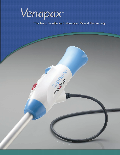

The Next Frontier in Endoscopic Vessel Harvesting.

medical cancer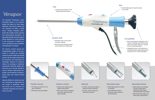- Stainless steel construction provides strength.
- Shaft absorbs bending forces and protects the endoscope.



# **Venapax**<sup>®</sup>

The Venapax® Endoscopic vessel harvesting system is an innovative design that allows for blunt tissue dissection, side branch division and vein extraction all within a single device. Venapax integrates seamlessly with existing camera systems and electrosurgical generators. Its rigid shaft provides structural support during dissection to avoid damage to the endoscope. A flexible cannula is provided for easy installation and application of CO<sub>2</sub> gas.

• Controls the position of the rotating electrode blade.

# Saphena medical

### Durable shaft

- Provides a conduit for  $CO<sub>2</sub>$ gas insufflation.
- Enhanced maneuverability.



The intuitive controls operate the circumferential rotation of the electrodes in a defined arc, allowing maximum branch length and minimal contact with the target vessel during the procedure. The electrodes are retractable, allowing for dissection without the exchange of additional components. Electrode design optimizes the use of bi-polar energy by using an efficient, high-density, lowenergy current pathway, resulting in strong seals with minimal thermal damage.

Saphena Medical is advancing endo vein technology by engineering the next frontier in endoscopic vessel harvesting. All our products are completely developed and manufactured in the USA.

### **Hub**

- Device seamlessly integrates with a range of existing rigid endoscopes and camera/light systems. Consult IFU for more information.
- Integrated power cord attaches to standard electrosurgical generators. Consult IFU for more information.



## Flexible cannula **Intuitive controls** Distal tip **Intuitive Controls** Distal tip Electrodes Open Electrodes Closed

• Comfortable grip for quick access to controls.

# **Compatibility**

- Simple blue sliding button deploys electrodes.
- Red power button energizes only when electrodes are fully extended.



- Smooth, solid tip provides a gradual surface transition.
- Access window allows for electrode extension.



- Electrodes extend or retract as needed.
- Circumferential rotation allows for easy access to all orientations.
- High-density, low-energy bi-polar cauterization efficiently treats tissue placed between electrodes.
- Electrode blade edge cuts tissue after cauterization.

## Grip